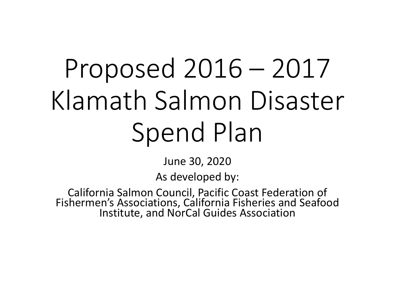# Proposed 2016 – 2017 Klamath Salmon Disaster Spend Plan

June 30, 2020

As developed by:

California Salmon Council, Pacific Coast Federation of Fishermen's Associations, California Fisheries and Seafood Institute, and NorCal Guides Association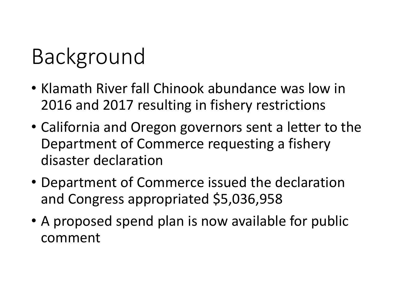#### Background

- Klamath River fall Chinook abundance was low in 2016 and 2017 resulting in fishery restrictions
- California and Oregon governors sent a letter to the Department of Commerce requesting a fishery disaster declaration
- Department of Commerce issued the declaration and Congress appropriated \$5,036,958
- A proposed spend plan is now available for public comment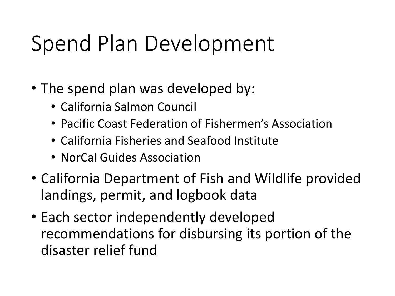#### Spend Plan Development

- The spend plan was developed by:
	- California Salmon Council
	- Pacific Coast Federation of Fishermen's Association
	- California Fisheries and Seafood Institute
	- NorCal Guides Association
- California Department of Fish and Wildlife provided landings, permit, and logbook data
- Each sector independently developed recommendations for disbursing its portion of the disaster relief fund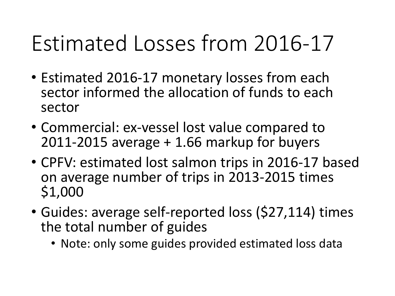### Estimated Losses from 2016-17

- Estimated 2016-17 monetary losses from each sector informed the allocation of funds to each sector
- Commercial: ex-vessel lost value compared to 2011-2015 average + 1.66 markup for buyers
- CPFV: estimated lost salmon trips in 2016-17 based on average number of trips in 2013-2015 times \$1,000
- Guides: average self-reported loss (\$27,114) times the total number of guides
	- Note: only some guides provided estimated loss data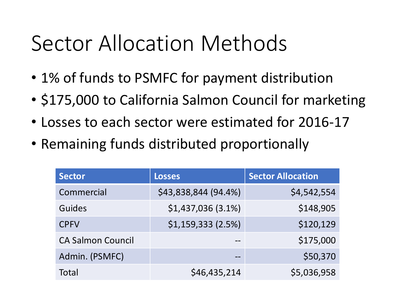#### Sector Allocation Methods

- 1% of funds to PSMFC for payment distribution
- \$175,000 to California Salmon Council for marketing
- Losses to each sector were estimated for 2016-17
- Remaining funds distributed proportionally

| <b>Sector</b>            | <b>Losses</b>        | <b>Sector Allocation</b> |
|--------------------------|----------------------|--------------------------|
| Commercial               | \$43,838,844 (94.4%) | \$4,542,554              |
| Guides                   | \$1,437,036(3.1%)    | \$148,905                |
| <b>CPFV</b>              | $$1,159,333$ (2.5%)  | \$120,129                |
| <b>CA Salmon Council</b> |                      | \$175,000                |
| Admin. (PSMFC)           | --                   | \$50,370                 |
| Total                    | \$46,435,214         | \$5,036,958              |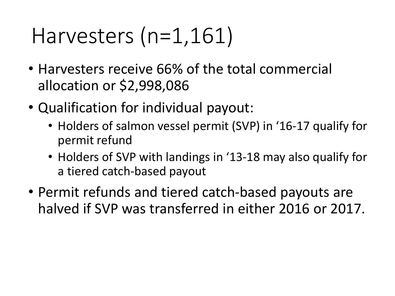### Harvesters (n=1,161)

- Harvesters receive 66% of the total commercial allocation or \$2,998,086
- Qualification for individual payout:
	- Holders of salmon vessel permit (SVP) in '16-17 qualify for permit refund
	- Holders of SVP with landings in '13-18 may also qualify for a tiered catch-based payout
- Permit refunds and tiered catch-based payouts are halved if SVP was transferred in either 2016 or 2017.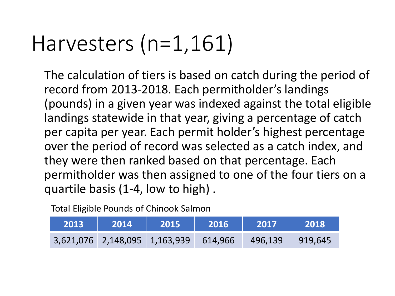### Harvesters (n=1,161)

The calculation of tiers is based on catch during the period of record from 2013-2018. Each permitholder's landings (pounds) in a given year was indexed against the total eligible landings statewide in that year, giving a percentage of catch per capita per year. Each permit holder's highest percentage over the period of record was selected as a catch index, and they were then ranked based on that percentage. Each permitholder was then assigned to one of the four tiers on a quartile basis (1-4, low to high) .

Total Eligible Pounds of Chinook Salmon

| 2013 | <b>2014</b> | 2015                                  | 2016 | 2017    | 2018    |
|------|-------------|---------------------------------------|------|---------|---------|
|      |             | 3,621,076 2,148,095 1,163,939 614,966 |      | 496,139 | 919,645 |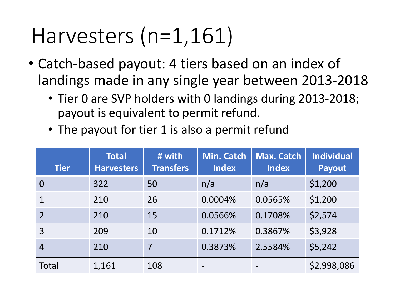#### Harvesters (n=1,161)

- Catch-based payout: 4 tiers based on an index of landings made in any single year between 2013-2018
	- Tier 0 are SVP holders with 0 landings during 2013-2018; payout is equivalent to permit refund.
	- The payout for tier 1 is also a permit refund

| <b>Tier</b>    | <b>Total</b><br><b>Harvesters</b> | # with<br><b>Transfers</b> | <b>Min. Catch</b><br><b>Index</b> | <b>Max. Catch</b><br><b>Index</b> | <b>Individual</b><br><b>Payout</b> |
|----------------|-----------------------------------|----------------------------|-----------------------------------|-----------------------------------|------------------------------------|
| $\Omega$       | 322                               | 50                         | n/a                               | n/a                               | \$1,200                            |
|                | 210                               | 26                         | 0.0004%                           | 0.0565%                           | \$1,200                            |
| $\overline{2}$ | 210                               | 15                         | 0.0566%                           | 0.1708%                           | \$2,574                            |
| 3              | 209                               | 10                         | 0.1712%                           | 0.3867%                           | \$3,928                            |
| 4              | 210                               | $\overline{7}$             | 0.3873%                           | 2.5584%                           | \$5,242                            |
| Total          | 1,161                             | 108                        |                                   |                                   | \$2,998,086                        |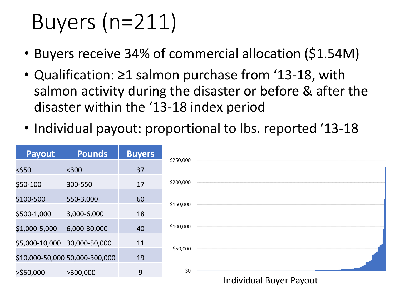# Buyers (n=211)

- Buyers receive 34% of commercial allocation (\$1.54M)
- Qualification: ≥1 salmon purchase from '13-18, with salmon activity during the disaster or before & after the disaster within the '13-18 index period
- Individual payout: proportional to Ibs. reported '13-18

| <b>Payout</b>                  | <b>Pounds</b> | <b>Buyers</b> | \$250,000 |                         |  |
|--------------------------------|---------------|---------------|-----------|-------------------------|--|
| $<$ \$50                       | $300$         | 37            |           |                         |  |
| \$50-100                       | 300-550       | 17            | \$200,000 |                         |  |
| \$100-500                      | 550-3,000     | 60            | \$150,000 |                         |  |
| \$500-1,000                    | 3,000-6,000   | 18            |           |                         |  |
| \$1,000-5,000                  | 6,000-30,000  | 40            | \$100,000 |                         |  |
| \$5,000-10,000                 | 30,000-50,000 | 11            | \$50,000  |                         |  |
| \$10,000-50,000 50,000-300,000 |               | 19            |           |                         |  |
| $>$ \$50,000                   | >300,000      | 9             | \$0       |                         |  |
|                                |               |               |           | Individual Buyer Payout |  |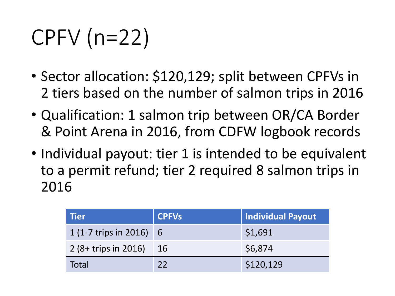# CPFV (n=22)

- Sector allocation: \$120,129; split between CPFVs in 2 tiers based on the number of salmon trips in 2016
- Qualification: 1 salmon trip between OR/CA Border & Point Arena in 2016, from CDFW logbook records
- Individual payout: tier 1 is intended to be equivalent to a permit refund; tier 2 required 8 salmon trips in 2016

| l Tier                  | CPFVs | Individual Payout |
|-------------------------|-------|-------------------|
| 1 (1-7 trips in 2016) 6 |       | \$1,691           |
| $2(8 + trips in 2016)$  | 16    | \$6,874           |
| Total                   | 22    | \$120,129         |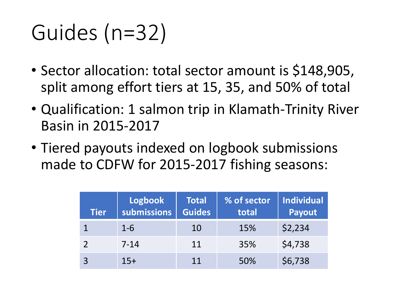# Guides (n=32)

- Sector allocation: total sector amount is \$148,905, split among effort tiers at 15, 35, and 50% of total
- Qualification: 1 salmon trip in Klamath-Trinity River Basin in 2015-2017
- Tiered payouts indexed on logbook submissions made to CDFW for 2015-2017 fishing seasons:

| <b>Tier</b> | <b>Logbook</b><br>submissions | <b>Total</b><br><b>Guides</b> | % of sector<br>total | Individual<br>Payout |
|-------------|-------------------------------|-------------------------------|----------------------|----------------------|
|             | $1 - 6$                       | 10                            | 15%                  | \$2,234              |
|             | $7 - 14$                      | 11                            | 35%                  | \$4,738              |
|             | $15+$                         | 11                            | 50%                  | \$6,738              |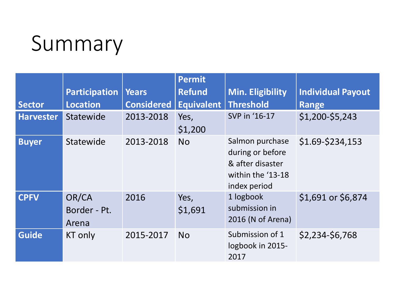#### Summary

|                  |                                |                   | <b>Permit</b>   |                                                                                              |                          |
|------------------|--------------------------------|-------------------|-----------------|----------------------------------------------------------------------------------------------|--------------------------|
|                  | <b>Participation</b>           | Years             | <b>Refund</b>   | Min. Eligibility                                                                             | <b>Individual Payout</b> |
| <b>Sector</b>    | <b>Location</b>                | <b>Considered</b> | Equivalent      | Threshold                                                                                    | Range                    |
| <b>Harvester</b> | Statewide                      | 2013-2018         | Yes,<br>\$1,200 | SVP in '16-17                                                                                | \$1,200-\$5,243          |
| <b>Buyer</b>     | Statewide                      | 2013-2018         | <b>No</b>       | Salmon purchase<br>during or before<br>& after disaster<br>within the '13-18<br>index period | \$1.69-\$234,153         |
| <b>CPFV</b>      | OR/CA<br>Border - Pt.<br>Arena | 2016              | Yes,<br>\$1,691 | 1 logbook<br>submission in<br>2016 (N of Arena)                                              | \$1,691 or \$6,874       |
| <b>Guide</b>     | KT only                        | 2015-2017         | <b>No</b>       | Submission of 1<br>logbook in 2015-<br>2017                                                  | \$2,234-\$6,768          |